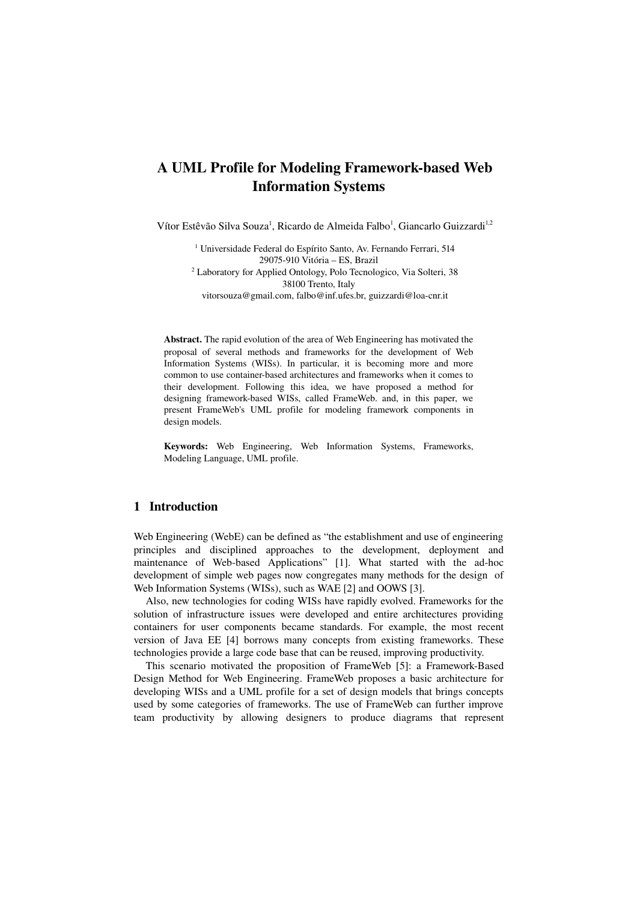# A UML Profile for Modeling Framework-based Web Information Systems

Vítor Estêvão Silva Souza<sup>1</sup>, Ricardo de Almeida Falbo<sup>1</sup>, Giancarlo Guizzardi<sup>1,2</sup>

<sup>1</sup> Universidade Federal do Espírito Santo, Av. Fernando Ferrari, 514 29075-910 Vitória - ES, Brazil <sup>2</sup> Laboratory for Applied Ontology, Polo Tecnologico, Via Solteri, 38 38100 Trento, Italy vitorsouza@gmail.com, falbo@inf.ufes.br, guizzardi@loa-cnr.it

Abstract. The rapid evolution of the area of Web Engineering has motivated the proposal of several methods and frameworks for the development of Web Information Systems (WISs). In particular, it is becoming more and more common to use container-based architectures and frameworks when it comes to their development. Following this idea, we have proposed a method for designing framework-based WISs, called FrameWeb. and, in this paper, we present FrameWeb's UML profile for modeling framework components in design models.

Keywords: Web Engineering, Web Information Systems, Frameworks, Modeling Language, UML profile.

### 1 Introduction

Web Engineering (WebE) can be defined as "the establishment and use of engineering principles and disciplined approaches to the development, deployment and maintenance of Web-based Applications" [\[1\]](#page-9-4). What started with the ad-hoc development of simple web pages now congregates many methods for the design of Web Information Systems (WISs), such as WAE [\[2\]](#page-9-3) and OOWS [\[3\]](#page-9-2).

Also, new technologies for coding WISs have rapidly evolved. Frameworks for the solution of infrastructure issues were developed and entire architectures providing containers for user components became standards. For example, the most recent version of Java EE [\[4\]](#page-9-1) borrows many concepts from existing frameworks. These technologies provide a large code base that can be reused, improving productivity.

This scenario motivated the proposition of FrameWeb [\[5\]](#page-9-0): a Framework-Based Design Method for Web Engineering. FrameWeb proposes a basic architecture for developing WISs and a UML profile for a set of design models that brings concepts used by some categories of frameworks. The use of FrameWeb can further improve team productivity by allowing designers to produce diagrams that represent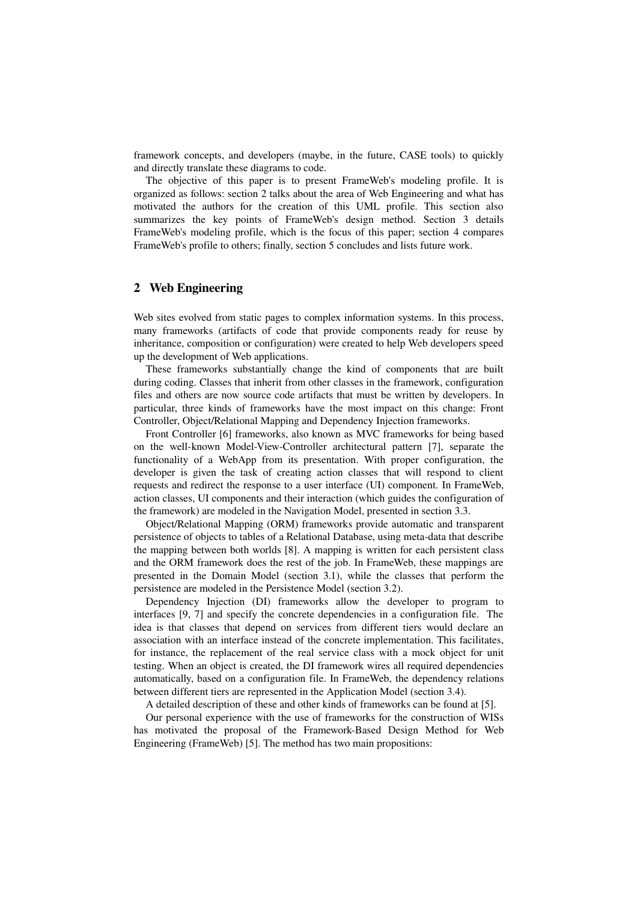framework concepts, and developers (maybe, in the future, CASE tools) to quickly and directly translate these diagrams to code.

The objective of this paper is to present FrameWeb's modeling profile. It is organized as follows: section [2](#page-1-0) talks about the area of Web Engineering and what has motivated the authors for the creation of this UML profile. This section also summarizes the key points of FrameWeb's design method. Section [3](#page-2-0) details FrameWeb's modeling profile, which is the focus of this paper; section [4](#page-8-0) compares FrameWeb's profile to others; finally, section [5](#page-9-9) concludes and lists future work.

# <span id="page-1-0"></span>2 Web Engineering

Web sites evolved from static pages to complex information systems. In this process, many frameworks (artifacts of code that provide components ready for reuse by inheritance, composition or configuration) were created to help Web developers speed up the development of Web applications.

These frameworks substantially change the kind of components that are built during coding. Classes that inherit from other classes in the framework, configuration files and others are now source code artifacts that must be written by developers. In particular, three kinds of frameworks have the most impact on this change: Front Controller, Object/Relational Mapping and Dependency Injection frameworks.

Front Controller [\[6\]](#page-9-8) frameworks, also known as MVC frameworks for being based on the well-known Model-View-Controller architectural pattern [\[7\]](#page-9-5), separate the functionality of a WebApp from its presentation. With proper configuration, the developer is given the task of creating action classes that will respond to client requests and redirect the response to a user interface (UI) component. In FrameWeb, action classes, UI components and their interaction (which guides the configuration of the framework) are modeled in the Navigation Model, presented in section [3.3.](#page-6-0)

Object/Relational Mapping (ORM) frameworks provide automatic and transparent persistence of objects to tables of a Relational Database, using meta-data that describe the mapping between both worlds [\[8\]](#page-9-7). A mapping is written for each persistent class and the ORM framework does the rest of the job. In FrameWeb, these mappings are presented in the Domain Model (section [3.1\)](#page-3-0), while the classes that perform the persistence are modeled in the Persistence Model (section [3.2\)](#page-5-0).

Dependency Injection (DI) frameworks allow the developer to program to interfaces [\[9,](#page-9-6) [7\]](#page-9-5) and specify the concrete dependencies in a configuration file. The idea is that classes that depend on services from different tiers would declare an association with an interface instead of the concrete implementation. This facilitates, for instance, the replacement of the real service class with a mock object for unit testing. When an object is created, the DI framework wires all required dependencies automatically, based on a configuration file. In FrameWeb, the dependency relations between different tiers are represented in the Application Model (section [3.4\)](#page-7-0).

A detailed description of these and other kinds of frameworks can be found at [\[5\]](#page-9-0).

Our personal experience with the use of frameworks for the construction of WISs has motivated the proposal of the Framework-Based Design Method for Web Engineering (FrameWeb) [\[5\]](#page-9-0). The method has two main propositions: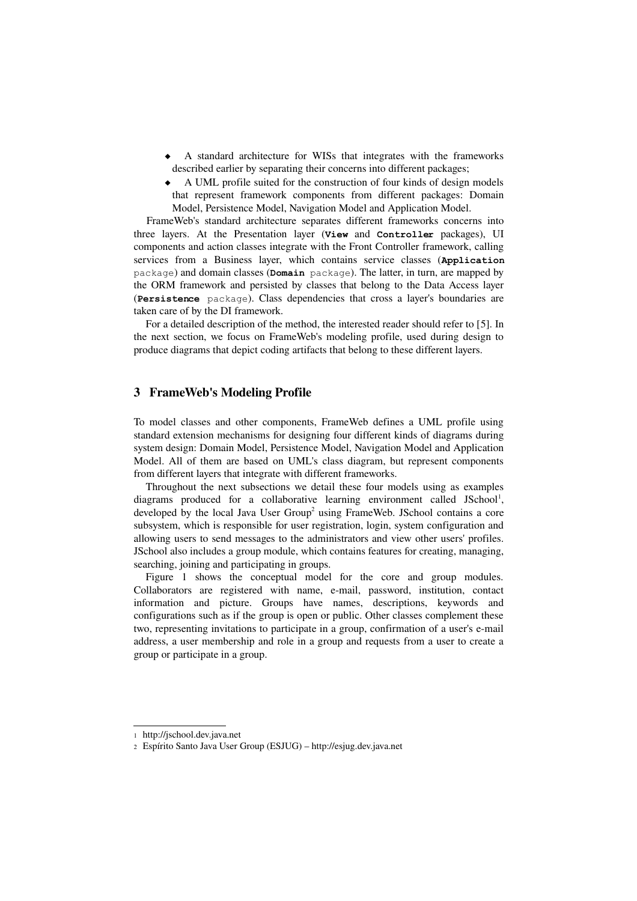- A standard architecture for WISs that integrates with the frameworks described earlier by separating their concerns into different packages;
- A UML profile suited for the construction of four kinds of design models that represent framework components from different packages: Domain Model, Persistence Model, Navigation Model and Application Model.

FrameWeb's standard architecture separates different frameworks concerns into three layers. At the Presentation layer (**View** and **Controller** packages), UI components and action classes integrate with the Front Controller framework, calling services from a Business layer, which contains service classes (**Application** package) and domain classes (**Domain** package). The latter, in turn, are mapped by the ORM framework and persisted by classes that belong to the Data Access layer (**Persistence** package). Class dependencies that cross a layer's boundaries are taken care of by the DI framework.

For a detailed description of the method, the interested reader should refer to [\[5\]](#page-9-0). In the next section, we focus on FrameWeb's modeling profile, used during design to produce diagrams that depict coding artifacts that belong to these different layers.

### <span id="page-2-0"></span>3 FrameWeb's Modeling Profile

To model classes and other components, FrameWeb defines a UML profile using standard extension mechanisms for designing four different kinds of diagrams during system design: Domain Model, Persistence Model, Navigation Model and Application Model. All of them are based on UML's class diagram, but represent components from different layers that integrate with different frameworks.

Throughout the next subsections we detail these four models using as examples diagrams produced for a collaborative learning environment called JSchool<sup>[1](#page-2-1)</sup>, developed by the local Java User  $Group^2$  $Group^2$  using FrameWeb. JSchool contains a core subsystem, which is responsible for user registration, login, system configuration and allowing users to send messages to the administrators and view other users' profiles. JSchool also includes a group module, which contains features for creating, managing, searching, joining and participating in groups.

Figure [1](#page-3-1) shows the conceptual model for the core and group modules. Collaborators are registered with name, e-mail, password, institution, contact information and picture. Groups have names, descriptions, keywords and configurations such as if the group is open or public. Other classes complement these two, representing invitations to participate in a group, confirmation of a user's e-mail address, a user membership and role in a group and requests from a user to create a group or participate in a group.

<span id="page-2-1"></span><sup>1</sup> http://jschool.dev.java.net

<span id="page-2-2"></span><sup>2</sup> Espírito Santo Java User Group (ESJUG) – http://esjug.dev.java.net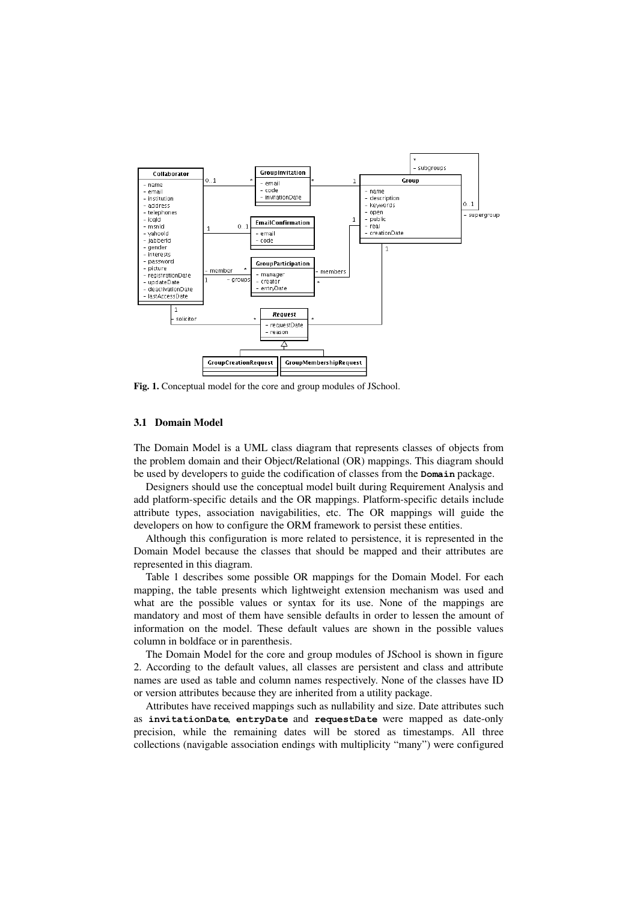

<span id="page-3-1"></span>Fig. 1. Conceptual model for the core and group modules of JSchool.

#### <span id="page-3-0"></span>3.1 Domain Model

The Domain Model is a UML class diagram that represents classes of objects from the problem domain and their Object/Relational (OR) mappings. This diagram should be used by developers to guide the codification of classes from the **Domain** package.

Designers should use the conceptual model built during Requirement Analysis and add platform-specific details and the OR mappings. Platform-specific details include attribute types, association navigabilities, etc. The OR mappings will guide the developers on how to configure the ORM framework to persist these entities.

Although this configuration is more related to persistence, it is represented in the Domain Model because the classes that should be mapped and their attributes are represented in this diagram.

Table [1](#page-4-0) describes some possible OR mappings for the Domain Model. For each mapping, the table presents which lightweight extension mechanism was used and what are the possible values or syntax for its use. None of the mappings are mandatory and most of them have sensible defaults in order to lessen the amount of information on the model. These default values are shown in the possible values column in boldface or in parenthesis.

The Domain Model for the core and group modules of JSchool is shown in figure [2.](#page-5-1) According to the default values, all classes are persistent and class and attribute names are used as table and column names respectively. None of the classes have ID or version attributes because they are inherited from a utility package.

Attributes have received mappings such as nullability and size. Date attributes such as invitationDate, entryDate and requestDate were mapped as date-only precision, while the remaining dates will be stored as timestamps. All three collections (navigable association endings with multiplicity "many") were configured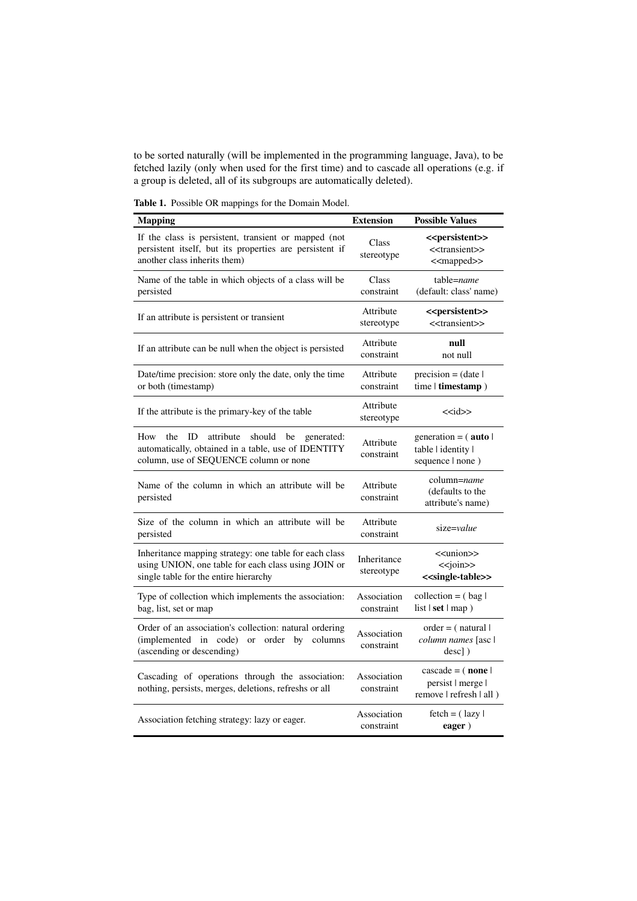to be sorted naturally (will be implemented in the programming language, Java), to be fetched lazily (only when used for the first time) and to cascade all operations (e.g. if a group is deleted, all of its subgroups are automatically deleted).

<span id="page-4-0"></span>Table 1. Possible OR mappings for the Domain Model.

| <b>Mapping</b>                                                                                                                                               | <b>Extension</b>          | <b>Possible Values</b>                                                                                |
|--------------------------------------------------------------------------------------------------------------------------------------------------------------|---------------------------|-------------------------------------------------------------------------------------------------------|
| If the class is persistent, transient or mapped (not<br>persistent itself, but its properties are persistent if<br>another class inherits them)              | Class<br>stereotype       | < <persistent>&gt;<br/>&lt;<transient>&gt;<br/>&lt;<mapped>&gt;</mapped></transient></persistent>     |
| Name of the table in which objects of a class will be<br>persisted                                                                                           | Class<br>constraint       | table=name<br>(default: class' name)                                                                  |
| If an attribute is persistent or transient                                                                                                                   | Attribute<br>stereotype   | < <persistent>&gt;<br/>&lt;<transient>&gt;</transient></persistent>                                   |
| If an attribute can be null when the object is persisted                                                                                                     | Attribute<br>constraint   | null<br>not null                                                                                      |
| Date/time precision: store only the date, only the time<br>or both (timestamp)                                                                               | Attribute<br>constraint   | $precision = (date)$<br>time   timestamp )                                                            |
| If the attribute is the primary-key of the table                                                                                                             | Attribute<br>stereotype   | $<<$ id>>                                                                                             |
| ID<br>attribute<br>should<br>How<br>the<br>be<br>generated:<br>automatically, obtained in a table, use of IDENTITY<br>column, use of SEQUENCE column or none | Attribute<br>constraint   | generation = $($ auto  <br>table   identity  <br>sequence   none )                                    |
| Name of the column in which an attribute will be<br>persisted                                                                                                | Attribute<br>constraint   | column= <i>name</i><br>(defaults to the<br>attribute's name)                                          |
| Size of the column in which an attribute will be<br>persisted                                                                                                | Attribute<br>constraint   | size=value                                                                                            |
| Inheritance mapping strategy: one table for each class<br>using UNION, one table for each class using JOIN or<br>single table for the entire hierarchy       | Inheritance<br>stereotype | < <union>&gt;<br/><math>&lt;&lt;</math>join&gt;&gt;<br/>&lt;<single-table>&gt;</single-table></union> |
| Type of collection which implements the association:<br>bag, list, set or map                                                                                | Association<br>constraint | collection = $(\text{bag})$<br>list $ set $ map $)$                                                   |
| Order of an association's collection: natural ordering<br>(implemented)<br>in code) or order by<br>columns<br>(ascending or descending)                      | Association<br>constraint | $order = (natural)$<br>column names [asc  <br>$desc$ ])                                               |
| Cascading of operations through the association:<br>nothing, persists, merges, deletions, refreshs or all                                                    | Association<br>constraint | $\cscade = (\text{none})$<br>persist   merge  <br>remove   refresh   all )                            |
| Association fetching strategy: lazy or eager.                                                                                                                | Association<br>constraint | $fetch = (lazy  $<br>eager)                                                                           |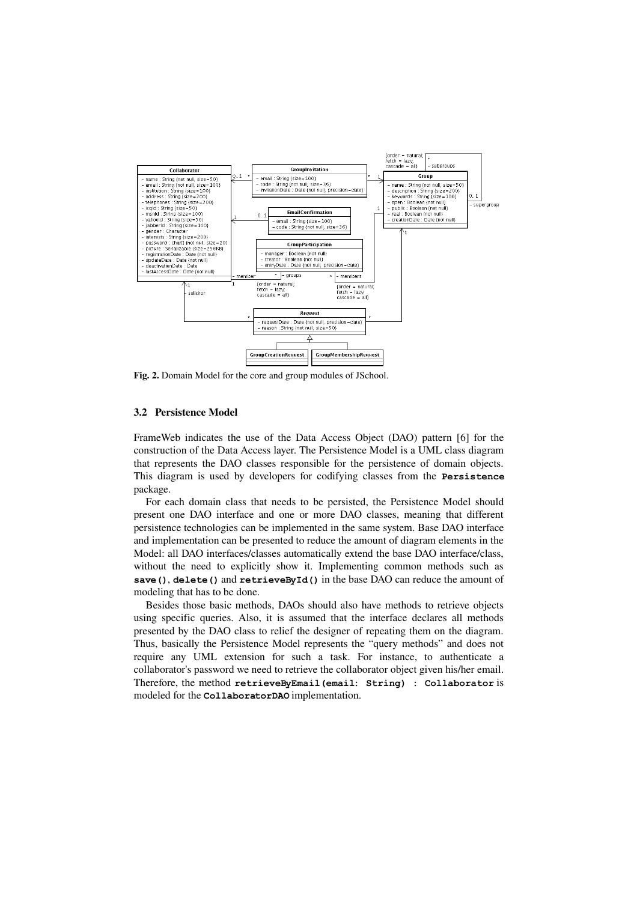

<span id="page-5-1"></span>Fig. 2. Domain Model for the core and group modules of JSchool.

### <span id="page-5-0"></span>3.2 Persistence Model

FrameWeb indicates the use of the Data Access Object (DAO) pattern [\[6\]](#page-9-8) for the construction of the Data Access layer. The Persistence Model is a UML class diagram that represents the DAO classes responsible for the persistence of domain objects. This diagram is used by developers for codifying classes from the **Persistence** package.

For each domain class that needs to be persisted, the Persistence Model should present one DAO interface and one or more DAO classes, meaning that different persistence technologies can be implemented in the same system. Base DAO interface and implementation can be presented to reduce the amount of diagram elements in the Model: all DAO interfaces/classes automatically extend the base DAO interface/class, without the need to explicitly show it. Implementing common methods such as **save()**, **delete()** and **retrieveById()** in the base DAO can reduce the amount of modeling that has to be done.

Besides those basic methods, DAOs should also have methods to retrieve objects using specific queries. Also, it is assumed that the interface declares all methods presented by the DAO class to relief the designer of repeating them on the diagram. Thus, basically the Persistence Model represents the "query methods" and does not require any UML extension for such a task. For instance, to authenticate a collaborator's password we need to retrieve the collaborator object given his/her email. Therefore, the method **retrieveByEmail(email: String) : Collaborator** is modeled for the **CollaboratorDAO** implementation.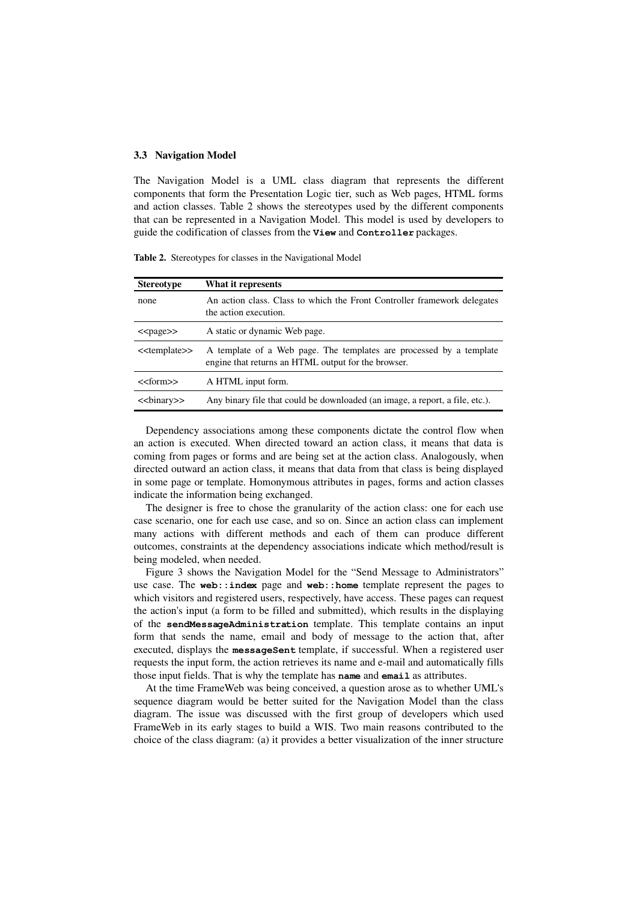#### <span id="page-6-0"></span>3.3 Navigation Model

The Navigation Model is a UML class diagram that represents the different components that form the Presentation Logic tier, such as Web pages, HTML forms and action classes. Table [2](#page-6-1) shows the stereotypes used by the different components that can be represented in a Navigation Model. This model is used by developers to guide the codification of classes from the **View** and **Controller** packages.

<span id="page-6-1"></span>Table 2. Stereotypes for classes in the Navigational Model

| <b>Stereotype</b>           | What it represents                                                                                                         |
|-----------------------------|----------------------------------------------------------------------------------------------------------------------------|
| none                        | An action class. Class to which the Front Controller framework delegates<br>the action execution.                          |
| $<$ page $>$                | A static or dynamic Web page.                                                                                              |
| < <template>&gt;</template> | A template of a Web page. The templates are processed by a template<br>engine that returns an HTML output for the browser. |
| $<<$ form $>>$              | A HTML input form.                                                                                                         |
| <<br>set>                   | Any binary file that could be downloaded (an image, a report, a file, etc.).                                               |

Dependency associations among these components dictate the control flow when an action is executed. When directed toward an action class, it means that data is coming from pages or forms and are being set at the action class. Analogously, when directed outward an action class, it means that data from that class is being displayed in some page or template. Homonymous attributes in pages, forms and action classes indicate the information being exchanged.

The designer is free to chose the granularity of the action class: one for each use case scenario, one for each use case, and so on. Since an action class can implement many actions with different methods and each of them can produce different outcomes, constraints at the dependency associations indicate which method/result is being modeled, when needed.

Figure [3](#page-7-1) shows the Navigation Model for the "Send Message to Administrators" use case. The **web::index** page and **web::home** template represent the pages to which visitors and registered users, respectively, have access. These pages can request the action's input (a form to be filled and submitted), which results in the displaying of the **sendMessageAdministration** template. This template contains an input form that sends the name, email and body of message to the action that, after executed, displays the **messageSent** template, if successful. When a registered user requests the input form, the action retrieves its name and email and automatically fills those input fields. That is why the template has **name** and **email** as attributes.

At the time FrameWeb was being conceived, a question arose as to whether UML's sequence diagram would be better suited for the Navigation Model than the class diagram. The issue was discussed with the first group of developers which used FrameWeb in its early stages to build a WIS. Two main reasons contributed to the choice of the class diagram: (a) it provides a better visualization of the inner structure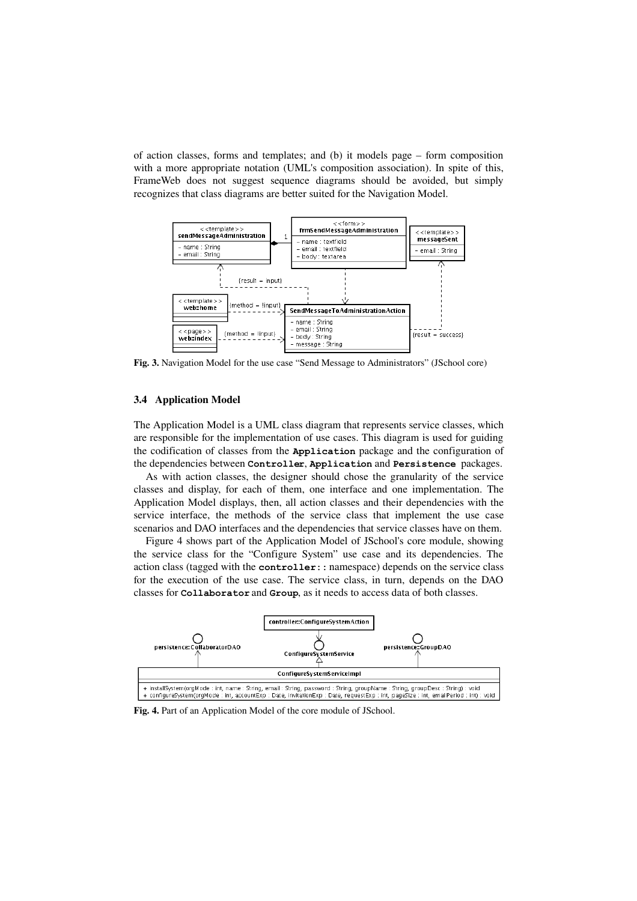of action classes, forms and templates; and (b) it models page – form composition with a more appropriate notation (UML's composition association). In spite of this, FrameWeb does not suggest sequence diagrams should be avoided, but simply recognizes that class diagrams are better suited for the Navigation Model.



<span id="page-7-1"></span>Fig. 3. Navigation Model for the use case "Send Message to Administrators" (JSchool core)

### <span id="page-7-0"></span>3.4 Application Model

The Application Model is a UML class diagram that represents service classes, which are responsible for the implementation of use cases. This diagram is used for guiding the codification of classes from the **Application** package and the configuration of the dependencies between **Controller**, **Application** and **Persistence** packages.

As with action classes, the designer should chose the granularity of the service classes and display, for each of them, one interface and one implementation. The Application Model displays, then, all action classes and their dependencies with the service interface, the methods of the service class that implement the use case scenarios and DAO interfaces and the dependencies that service classes have on them.

Figure [4](#page-7-2) shows part of the Application Model of JSchool's core module, showing the service class for the "Configure System" use case and its dependencies. The action class (tagged with the **controller::** namespace) depends on the service class for the execution of the use case. The service class, in turn, depends on the DAO classes for **Collaborator** and **Group**, as it needs to access data of both classes.



<span id="page-7-2"></span>Fig. 4. Part of an Application Model of the core module of JSchool.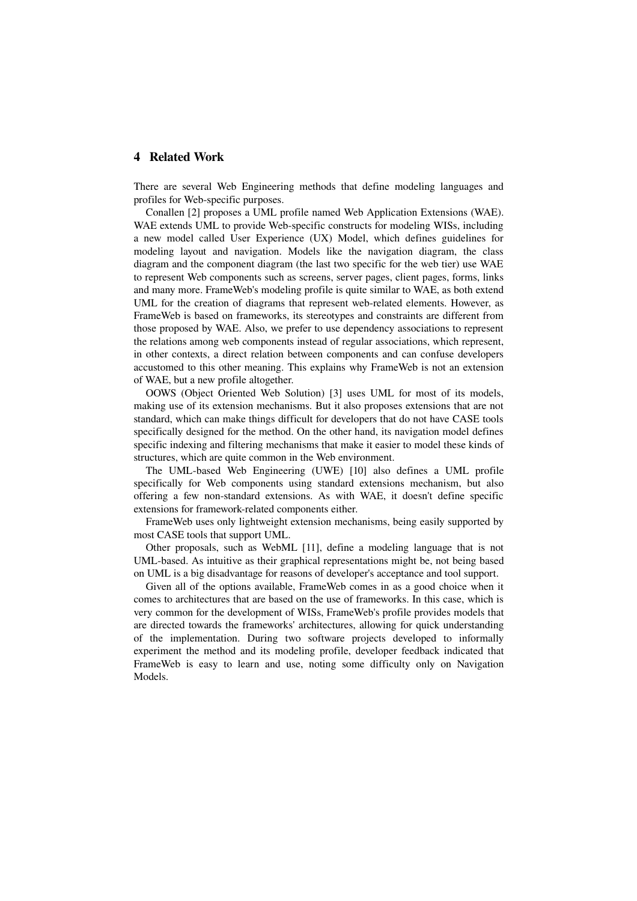# <span id="page-8-0"></span>4 Related Work

There are several Web Engineering methods that define modeling languages and profiles for Web-specific purposes.

Conallen [\[2\]](#page-9-3) proposes a UML profile named Web Application Extensions (WAE). WAE extends UML to provide Web-specific constructs for modeling WISs, including a new model called User Experience (UX) Model, which defines guidelines for modeling layout and navigation. Models like the navigation diagram, the class diagram and the component diagram (the last two specific for the web tier) use WAE to represent Web components such as screens, server pages, client pages, forms, links and many more. FrameWeb's modeling profile is quite similar to WAE, as both extend UML for the creation of diagrams that represent web-related elements. However, as FrameWeb is based on frameworks, its stereotypes and constraints are different from those proposed by WAE. Also, we prefer to use dependency associations to represent the relations among web components instead of regular associations, which represent, in other contexts, a direct relation between components and can confuse developers accustomed to this other meaning. This explains why FrameWeb is not an extension of WAE, but a new profile altogether.

OOWS (Object Oriented Web Solution) [\[3\]](#page-9-2) uses UML for most of its models, making use of its extension mechanisms. But it also proposes extensions that are not standard, which can make things difficult for developers that do not have CASE tools specifically designed for the method. On the other hand, its navigation model defines specific indexing and filtering mechanisms that make it easier to model these kinds of structures, which are quite common in the Web environment.

The UML-based Web Engineering (UWE) [\[10\]](#page-9-11) also defines a UML profile specifically for Web components using standard extensions mechanism, but also offering a few non-standard extensions. As with WAE, it doesn't define specific extensions for framework-related components either.

FrameWeb uses only lightweight extension mechanisms, being easily supported by most CASE tools that support UML.

Other proposals, such as WebML [\[11\]](#page-9-10), define a modeling language that is not UML-based. As intuitive as their graphical representations might be, not being based on UML is a big disadvantage for reasons of developer's acceptance and tool support.

Given all of the options available, FrameWeb comes in as a good choice when it comes to architectures that are based on the use of frameworks. In this case, which is very common for the development of WISs, FrameWeb's profile provides models that are directed towards the frameworks' architectures, allowing for quick understanding of the implementation. During two software projects developed to informally experiment the method and its modeling profile, developer feedback indicated that FrameWeb is easy to learn and use, noting some difficulty only on Navigation Models.